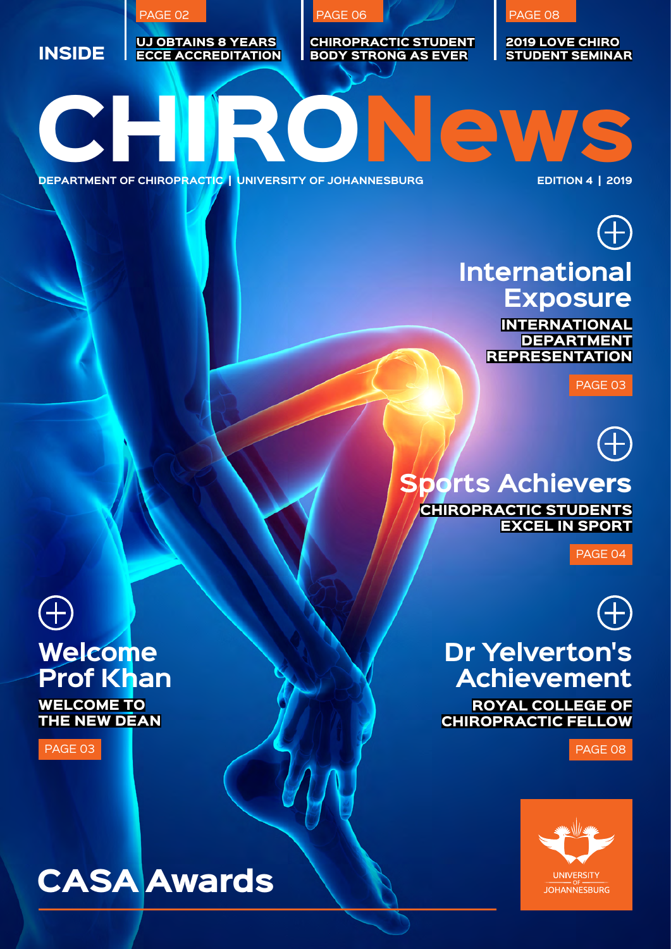EPARTMENT OF CHIROPRACTIC | UNIVERSITY OF JOHANNESBURG EDITION 4 | 2019 **INSIDE** UJ obtains 8 years ECCE accreditation Chiropractic student body strong as ever 2019 LOVE CHIRO Student Seminar

PAGE 06

**DEPARTMENT OF CHIROPRACTIC | UNIVERSITY OF JOHANNESBURG** 

PAGE 02



## **International Exposure**

PAGE 08

**INTERNATIONAL DEPARTMENT REPRESENTATION** 

PAGE 03

**Sports Achiev**ers Chiropractic students **EXCEL IN SPORT** 

PAGE 04



#### **Dr Yelverton's Achievement** Royal College of Chiropractic Fellow

page 08



**Welcome Prof Khan**

WELCOME TO the new Dean

PAGE 03

## CASA Awards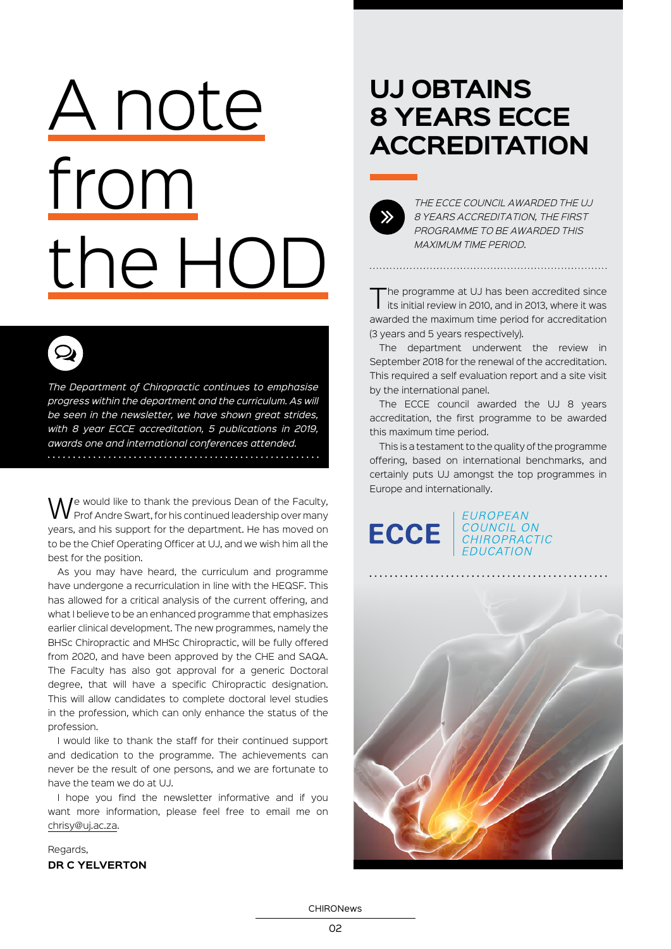# A note from the HOD

*The Department of Chiropractic continues to emphasise progress within the department and the curriculum. As will be seen in the newsletter, we have shown great strides, with 8 year ECCE accreditation, 5 publications in 2019, awards one and international conferences attended.* 

 $\mathbf{\Omega}$ 

We would like to thank the previous Dean of the Faculty, Prof Andre Swart, for his continued leadership over many years, and his support for the department. He has moved on to be the Chief Operating Officer at UJ, and we wish him all the best for the position.

As you may have heard, the curriculum and programme have undergone a recurriculation in line with the HEQSF. This has allowed for a critical analysis of the current offering, and what I believe to be an enhanced programme that emphasizes earlier clinical development. The new programmes, namely the BHSc Chiropractic and MHSc Chiropractic, will be fully offered from 2020, and have been approved by the CHE and SAQA. The Faculty has also got approval for a generic Doctoral degree, that will have a specific Chiropractic designation. This will allow candidates to complete doctoral level studies in the profession, which can only enhance the status of the profession.

I would like to thank the staff for their continued support and dedication to the programme. The achievements can never be the result of one persons, and we are fortunate to have the team we do at UJ.

I hope you find the newsletter informative and if you want more information, please feel free to email me on chrisy@uj.ac.za.

#### Regards, **Dr C Yelverton**

## **UJ obtains 8 years ECCE accreditation**



*The ECCE council awarded the UJ 8 years accreditation, the first programme to be awarded this maximum time period.*

The programme at UJ has been accredited since<br>its initial review in 2010, and in 2013, where it was awarded the maximum time period for accreditation (3 years and 5 years respectively).

The department underwent the review in September 2018 for the renewal of the accreditation. This required a self evaluation report and a site visit by the international panel.

The ECCE council awarded the UJ 8 years accreditation, the first programme to be awarded this maximum time period.

This is a testament to the quality of the programme offering, based on international benchmarks, and certainly puts UJ amongst the top programmes in Europe and internationally.

EUROPEAN **ECCE** COUNCIL ON CHIROPRACTIC **FDUCATION** 



CHIRONews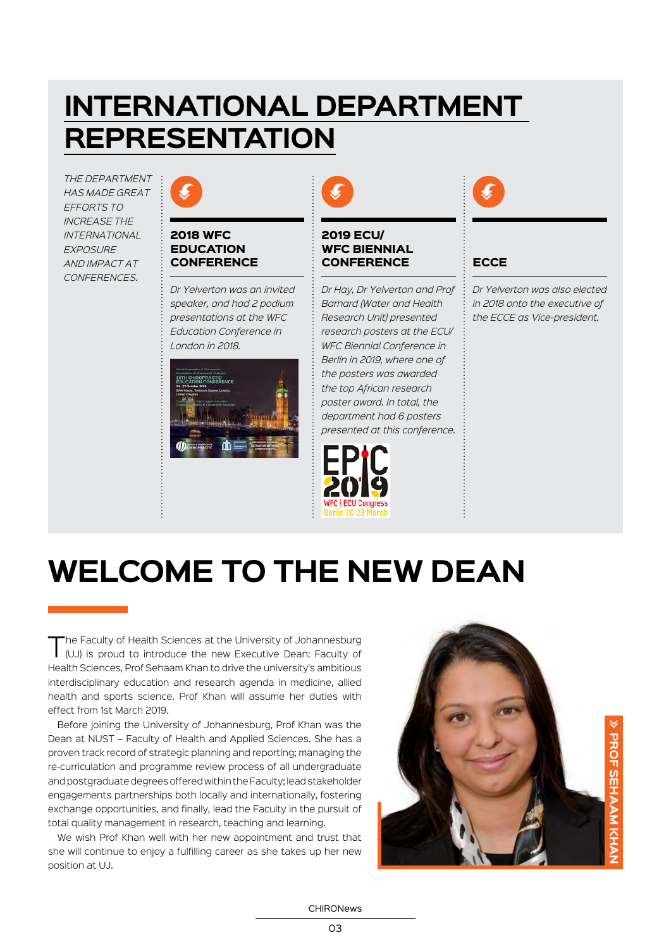## **International Department Representation**

*The department has made great efforts to increase the international exposure and impact at conferences.*



#### 2018 WFC **EDUCATION CONFERENCE**

*Dr Yelverton was an invited speaker, and had 2 podium presentations at the WFC Education Conference in London in 2018.*





#### 2019 ECU/ WFC BIENNIAL **CONFERENCE**

*Dr Hay, Dr Yelverton and Prof Barnard (Water and Health Research Unit) presented research posters at the ECU/ WFC Biennial Conference in Berlin in 2019, where one of the posters was awarded the top African research poster award. In total, the department had 6 posters presented at this conference.*





#### **ECCE**

*Dr Yelverton was also elected in 2018 onto the executive of the ECCE as Vice-president.*

## **Welcome to the new Dean**

The Faculty of Health Sciences at the University of Johannesburg<br>(UJ) is proud to introduce the new Executive Dean: Faculty of Health Sciences, Prof Sehaam Khan to drive the university's ambitious interdisciplinary education and research agenda in medicine, allied health and sports science. Prof Khan will assume her duties with effect from 1st March 2019.

Before joining the University of Johannesburg, Prof Khan was the Dean at NUST – Faculty of Health and Applied Sciences. She has a proven track record of strategic planning and reporting; managing the re-curriculation and programme review process of all undergraduate and postgraduate degrees offered within the Faculty; lead stakeholder engagements partnerships both locally and internationally, fostering exchange opportunities, and finally, lead the Faculty in the pursuit of total quality management in research, teaching and learning.

We wish Prof Khan well with her new appointment and trust that she will continue to enjoy a fulfilling career as she takes up her new position at UJ.

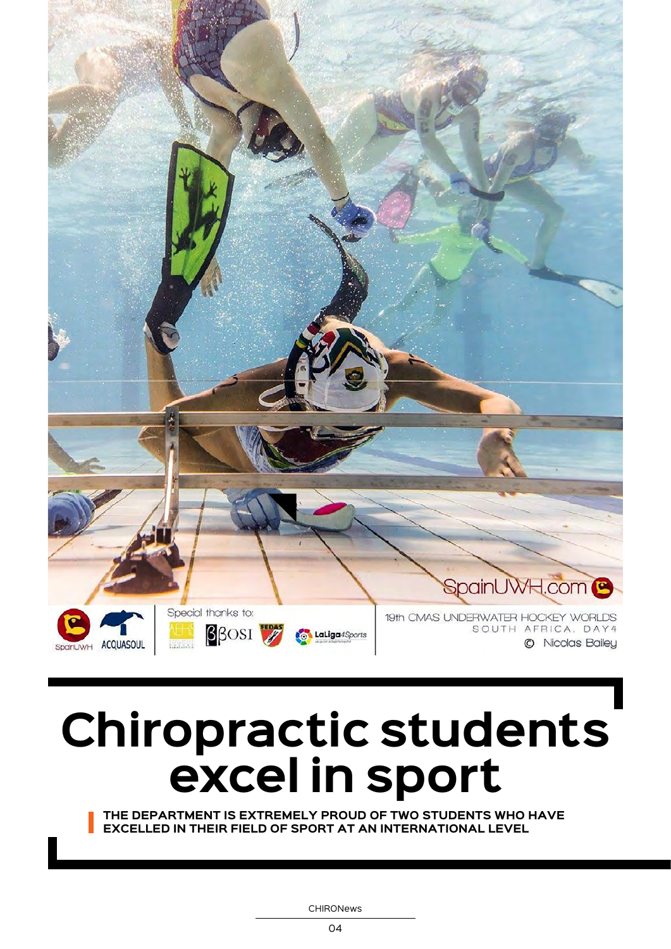

## **Chiropractic students excel in sport**

**The department is extremely proud of two students who have excelled in their field of sport at an international level**

CHIRONews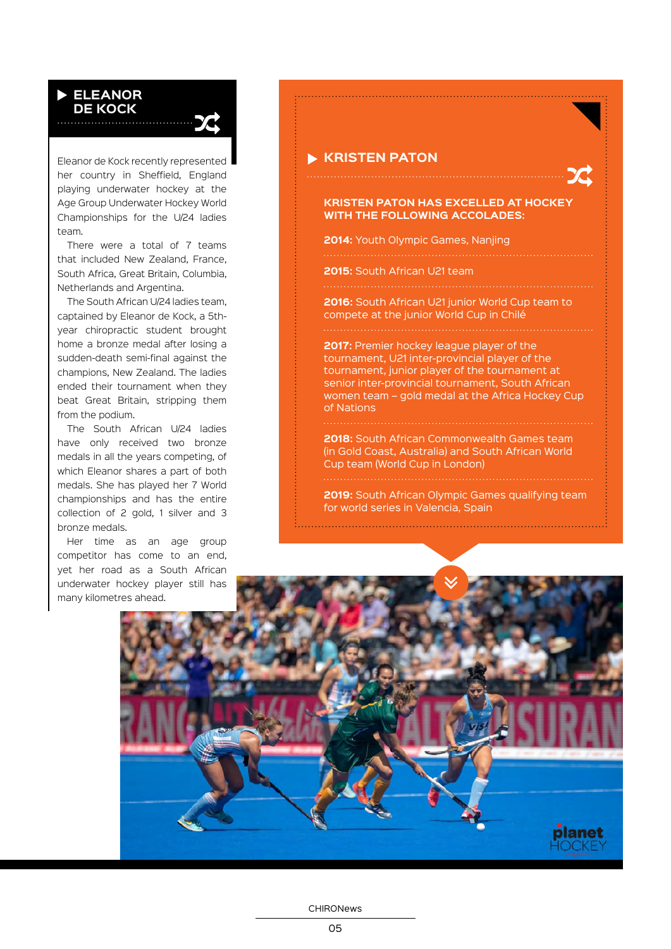#### **Eleanor de kock**

Eleanor de Kock recently represented her country in Sheffield, England playing underwater hockey at the Age Group Underwater Hockey World Championships for the U/24 ladies team.

There were a total of 7 teams that included New Zealand, France, South Africa, Great Britain, Columbia, Netherlands and Argentina.

The South African U/24 ladies team, captained by Eleanor de Kock, a 5thyear chiropractic student brought home a bronze medal after losing a sudden-death semi-final against the champions, New Zealand. The ladies ended their tournament when they beat Great Britain, stripping them from the podium.

The South African U/24 ladies have only received two bronze medals in all the years competing, of which Eleanor shares a part of both medals. She has played her 7 World championships and has the entire collection of 2 gold, 1 silver and 3 bronze medals.

Her time as an age group competitor has come to an end, yet her road as a South African underwater hockey player still has many kilometres ahead.

#### **KRISTEN PATON**

#### **Kristen Paton has excelled at hockey with the following accolades:**

**2014:** Youth Olympic Games, Nanjing

**2015:** South African U21 team

**2016:** South African U21 junior World Cup team to compete at the junior World Cup in Chilé

**2017:** Premier hockey league player of the tournament, U21 inter-provincial player of the tournament, junior player of the tournament at senior inter-provincial tournament, South African women team – gold medal at the Africa Hockey Cup of Nations

**2018:** South African Commonwealth Games team (in Gold Coast, Australia) and South African World Cup team (World Cup in London)

**2019:** South African Olympic Games qualifying team for world series in Valencia, Spain



CHIRONews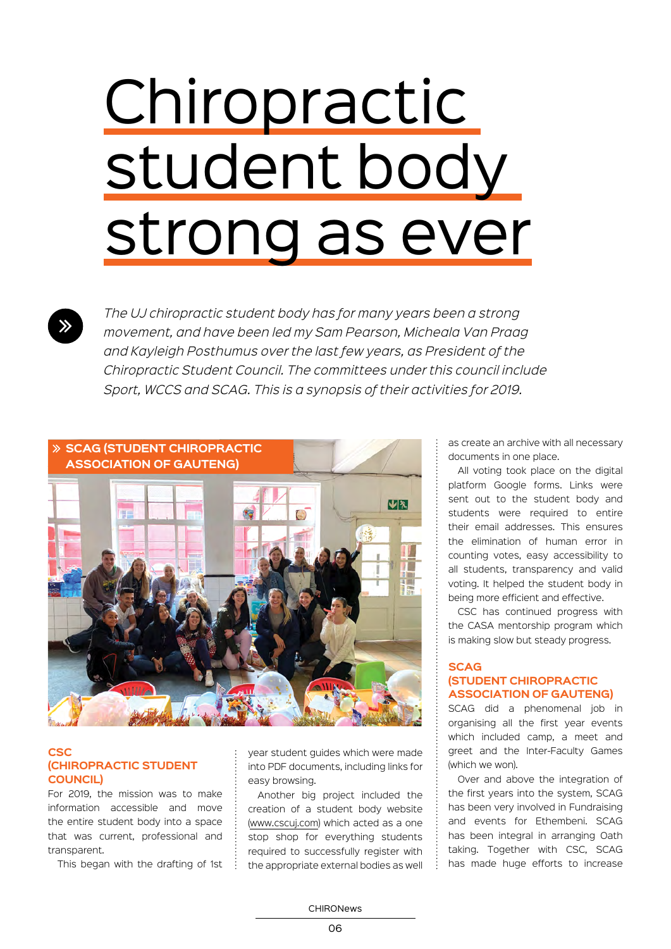# **Chiropractic** student body strong as ever

*The UJ chiropractic student body has for many years been a strong movement, and have been led my Sam Pearson, Micheala Van Praag and Kayleigh Posthumus over the last few years, as President of the Chiropractic Student Council. The committees under this council include Sport, WCCS and SCAG. This is a synopsis of their activities for 2019.*



#### **CSC (Chiropractic Student Council)**

For 2019, the mission was to make information accessible and move the entire student body into a space that was current, professional and transparent.

This began with the drafting of 1st  $\frac{1}{2}$ 

year student guides which were made into PDF documents, including links for easy browsing.

Another big project included the creation of a student body website (www.cscuj.com) which acted as a one stop shop for everything students required to successfully register with the appropriate external bodies as well

as create an archive with all necessary documents in one place.

All voting took place on the digital platform Google forms. Links were sent out to the student body and students were required to entire their email addresses. This ensures the elimination of human error in counting votes, easy accessibility to all students, transparency and valid voting. It helped the student body in being more efficient and effective.

CSC has continued progress with the CASA mentorship program which is making slow but steady progress.

#### **SCAG (Student Chiropractic Association of Gauteng)**

SCAG did a phenomenal job in organising all the first year events which included camp, a meet and greet and the Inter-Faculty Games (which we won).

Over and above the integration of the first years into the system, SCAG has been very involved in Fundraising and events for Ethembeni. SCAG has been integral in arranging Oath taking. Together with CSC, SCAG has made huge efforts to increase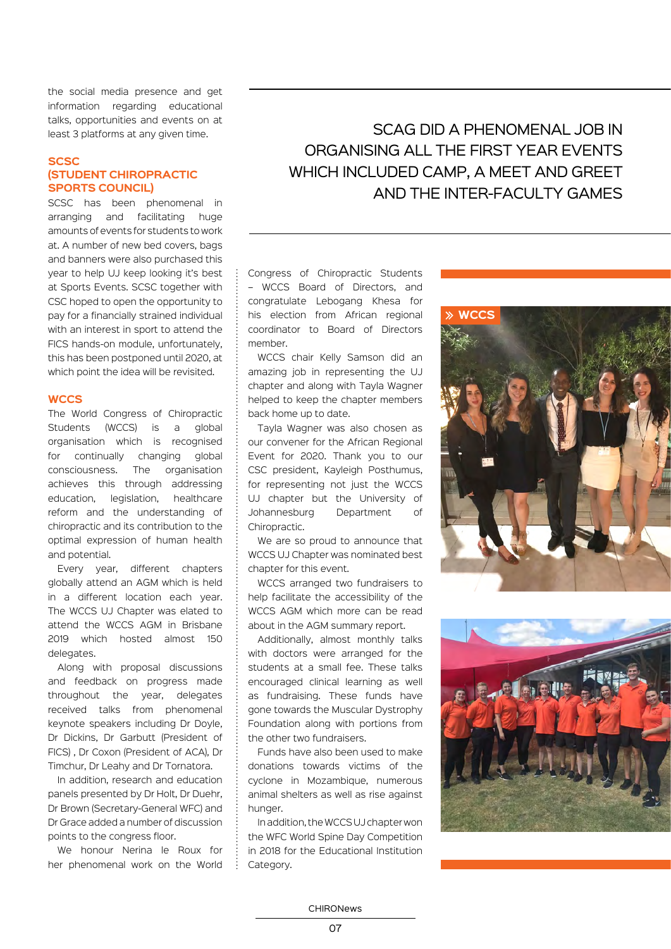the social media presence and get information regarding educational talks, opportunities and events on at least 3 platforms at any given time.

#### **SCSC (Student Chiropractic Sports Council)**

SCSC has been phenomenal in arranging and facilitating huge amounts of events for students to work at. A number of new bed covers, bags and banners were also purchased this year to help UJ keep looking it's best at Sports Events. SCSC together with CSC hoped to open the opportunity to pay for a financially strained individual with an interest in sport to attend the FICS hands-on module, unfortunately, this has been postponed until 2020, at which point the idea will be revisited.

#### **WCCS**

The World Congress of Chiropractic Students (WCCS) is a global organisation which is recognised for continually changing global consciousness. The organisation achieves this through addressing education, legislation, healthcare reform and the understanding of chiropractic and its contribution to the optimal expression of human health and potential.

Every year, different chapters globally attend an AGM which is held in a different location each year. The WCCS UJ Chapter was elated to attend the WCCS AGM in Brisbane 2019 which hosted almost 150 delegates.

Along with proposal discussions and feedback on progress made throughout the year, delegates received talks from phenomenal keynote speakers including Dr Doyle, Dr Dickins, Dr Garbutt (President of FICS) , Dr Coxon (President of ACA), Dr Timchur, Dr Leahy and Dr Tornatora.

In addition, research and education panels presented by Dr Holt, Dr Duehr, Dr Brown (Secretary-General WFC) and Dr Grace added a number of discussion points to the congress floor.

We honour Nerina le Roux for her phenomenal work on the World

SCAG did a phenomenal job in organising all the first year events WHICH INCLUDED CAMP, A MEET AND GREET and the Inter-Faculty games

Congress of Chiropractic Students – WCCS Board of Directors, and congratulate Lebogang Khesa for his election from African regional coordinator to Board of Directors member.

WCCS chair Kelly Samson did an amazing job in representing the UJ chapter and along with Tayla Wagner helped to keep the chapter members back home up to date.

Tayla Wagner was also chosen as our convener for the African Regional Event for 2020. Thank you to our CSC president, Kayleigh Posthumus, for representing not just the WCCS UJ chapter but the University of Johannesburg Department of Chiropractic.

We are so proud to announce that WCCS UJ Chapter was nominated best chapter for this event.

WCCS arranged two fundraisers to help facilitate the accessibility of the WCCS AGM which more can be read about in the AGM summary report.

Additionally, almost monthly talks with doctors were arranged for the students at a small fee. These talks encouraged clinical learning as well as fundraising. These funds have gone towards the Muscular Dystrophy Foundation along with portions from the other two fundraisers.

Funds have also been used to make donations towards victims of the cyclone in Mozambique, numerous animal shelters as well as rise against hunger.

In addition, the WCCS UJ chapter won the WFC World Spine Day Competition in 2018 for the Educational Institution Category.